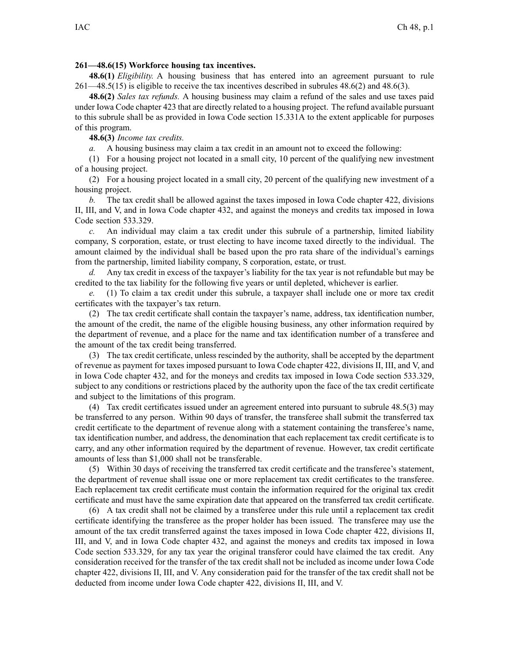## **261—48.6(15) Workforce housing tax incentives.**

**48.6(1)** *Eligibility.* A housing business that has entered into an agreemen<sup>t</sup> pursuan<sup>t</sup> to rule [261—48.5](https://www.legis.iowa.gov/docs/iac/rule/261.48.5.pdf)(15) is eligible to receive the tax incentives described in subrules [48.6\(2\)](https://www.legis.iowa.gov/docs/iac/rule/261.48.6.pdf) and [48.6\(3\)](https://www.legis.iowa.gov/docs/iac/rule/261.48.6.pdf).

**48.6(2)** *Sales tax refunds.* A housing business may claim <sup>a</sup> refund of the sales and use taxes paid under Iowa Code chapter [423](https://www.legis.iowa.gov/docs/ico/chapter/423.pdf) that are directly related to <sup>a</sup> housing project. The refund available pursuan<sup>t</sup> to this subrule shall be as provided in Iowa Code section [15.331A](https://www.legis.iowa.gov/docs/ico/section/15.331A.pdf) to the extent applicable for purposes of this program.

**48.6(3)** *Income tax credits.*

*a.* A housing business may claim <sup>a</sup> tax credit in an amount not to exceed the following:

(1) For <sup>a</sup> housing project not located in <sup>a</sup> small city, 10 percen<sup>t</sup> of the qualifying new investment of <sup>a</sup> housing project.

(2) For <sup>a</sup> housing project located in <sup>a</sup> small city, 20 percen<sup>t</sup> of the qualifying new investment of <sup>a</sup> housing project.

*b.* The tax credit shall be allowed against the taxes imposed in Iowa Code chapter [422](https://www.legis.iowa.gov/docs/ico/chapter/422.pdf), divisions II, III, and V, and in Iowa Code chapter [432](https://www.legis.iowa.gov/docs/ico/chapter/432.pdf), and against the moneys and credits tax imposed in Iowa Code section [533.329](https://www.legis.iowa.gov/docs/ico/section/533.329.pdf).

*c.* An individual may claim <sup>a</sup> tax credit under this subrule of <sup>a</sup> partnership, limited liability company, S corporation, estate, or trust electing to have income taxed directly to the individual. The amount claimed by the individual shall be based upon the pro rata share of the individual's earnings from the partnership, limited liability company, S corporation, estate, or trust.

*d.* Any tax credit in excess of the taxpayer's liability for the tax year is not refundable but may be credited to the tax liability for the following five years or until depleted, whichever is earlier.

*e.* (1) To claim <sup>a</sup> tax credit under this subrule, <sup>a</sup> taxpayer shall include one or more tax credit certificates with the taxpayer's tax return.

(2) The tax credit certificate shall contain the taxpayer's name, address, tax identification number, the amount of the credit, the name of the eligible housing business, any other information required by the department of revenue, and <sup>a</sup> place for the name and tax identification number of <sup>a</sup> transferee and the amount of the tax credit being transferred.

(3) The tax credit certificate, unless rescinded by the authority, shall be accepted by the department of revenue as paymen<sup>t</sup> for taxes imposed pursuan<sup>t</sup> to Iowa Code chapter [422](https://www.legis.iowa.gov/docs/ico/chapter/422.pdf), divisions II, III, and V, and in Iowa Code chapter [432](https://www.legis.iowa.gov/docs/ico/chapter/432.pdf), and for the moneys and credits tax imposed in Iowa Code section [533.329](https://www.legis.iowa.gov/docs/ico/section/533.329.pdf), subject to any conditions or restrictions placed by the authority upon the face of the tax credit certificate and subject to the limitations of this program.

(4) Tax credit certificates issued under an agreemen<sup>t</sup> entered into pursuan<sup>t</sup> to subrule [48.5\(3\)](https://www.legis.iowa.gov/docs/iac/rule/261.48.5.pdf) may be transferred to any person. Within 90 days of transfer, the transferee shall submit the transferred tax credit certificate to the department of revenue along with <sup>a</sup> statement containing the transferee's name, tax identification number, and address, the denomination that each replacement tax credit certificate is to carry, and any other information required by the department of revenue. However, tax credit certificate amounts of less than \$1,000 shall not be transferable.

(5) Within 30 days of receiving the transferred tax credit certificate and the transferee's statement, the department of revenue shall issue one or more replacement tax credit certificates to the transferee. Each replacement tax credit certificate must contain the information required for the original tax credit certificate and must have the same expiration date that appeared on the transferred tax credit certificate.

(6) A tax credit shall not be claimed by <sup>a</sup> transferee under this rule until <sup>a</sup> replacement tax credit certificate identifying the transferee as the proper holder has been issued. The transferee may use the amount of the tax credit transferred against the taxes imposed in Iowa Code chapter [422](https://www.legis.iowa.gov/docs/ico/chapter/422.pdf), divisions II, III, and V, and in Iowa Code chapter [432](https://www.legis.iowa.gov/docs/ico/chapter/432.pdf), and against the moneys and credits tax imposed in Iowa Code section [533.329](https://www.legis.iowa.gov/docs/ico/section/533.329.pdf), for any tax year the original transferor could have claimed the tax credit. Any consideration received for the transfer of the tax credit shall not be included as income under Iowa Code chapter [422](https://www.legis.iowa.gov/docs/ico/chapter/422.pdf), divisions II, III, and V. Any consideration paid for the transfer of the tax credit shall not be deducted from income under Iowa Code chapter [422](https://www.legis.iowa.gov/docs/ico/chapter/422.pdf), divisions II, III, and V.